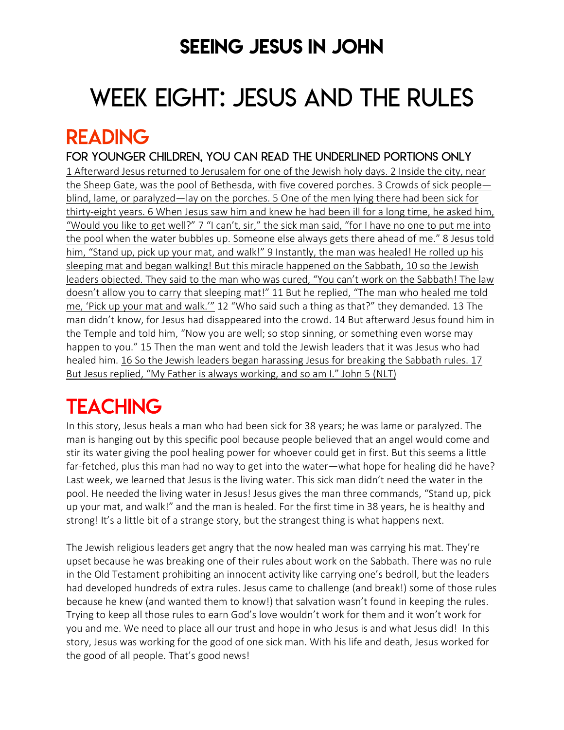### SEEING JESUS IN JOHN

# WEEK EIGHT: JESUS AND THE RULES

### READING

FOR younger children, YOU can READ THE UNDERLINED PORTIONS ONLY 1 Afterward Jesus returned to Jerusalem for one of the Jewish holy days. 2 Inside the city, near the Sheep Gate, was the pool of Bethesda, with five covered porches. 3 Crowds of sick people blind, lame, or paralyzed—lay on the porches. 5 One of the men lying there had been sick for thirty-eight years. 6 When Jesus saw him and knew he had been ill for a long time, he asked him, "Would you like to get well?" 7 "I can't, sir," the sick man said, "for I have no one to put me into the pool when the water bubbles up. Someone else always gets there ahead of me." 8 Jesus told him, "Stand up, pick up your mat, and walk!" 9 Instantly, the man was healed! He rolled up his sleeping mat and began walking! But this miracle happened on the Sabbath, 10 so the Jewish leaders objected. They said to the man who was cured, "You can't work on the Sabbath! The law doesn't allow you to carry that sleeping mat!" 11 But he replied, "The man who healed me told me, 'Pick up your mat and walk.'" 12 "Who said such a thing as that?" they demanded. 13 The man didn't know, for Jesus had disappeared into the crowd. 14 But afterward Jesus found him in the Temple and told him, "Now you are well; so stop sinning, or something even worse may happen to you." 15 Then the man went and told the Jewish leaders that it was Jesus who had healed him. 16 So the Jewish leaders began harassing Jesus for breaking the Sabbath rules. 17 But Jesus replied, "My Father is always working, and so am I." John 5 (NLT)

# **TEACHING**

In this story, Jesus heals a man who had been sick for 38 years; he was lame or paralyzed. The man is hanging out by this specific pool because people believed that an angel would come and stir its water giving the pool healing power for whoever could get in first. But this seems a little far-fetched, plus this man had no way to get into the water—what hope for healing did he have? Last week, we learned that Jesus is the living water. This sick man didn't need the water in the pool. He needed the living water in Jesus! Jesus gives the man three commands, "Stand up, pick up your mat, and walk!" and the man is healed. For the first time in 38 years, he is healthy and strong! It's a little bit of a strange story, but the strangest thing is what happens next.

The Jewish religious leaders get angry that the now healed man was carrying his mat. They're upset because he was breaking one of their rules about work on the Sabbath. There was no rule in the Old Testament prohibiting an innocent activity like carrying one's bedroll, but the leaders had developed hundreds of extra rules. Jesus came to challenge (and break!) some of those rules because he knew (and wanted them to know!) that salvation wasn't found in keeping the rules. Trying to keep all those rules to earn God's love wouldn't work for them and it won't work for you and me. We need to place all our trust and hope in who Jesus is and what Jesus did! In this story, Jesus was working for the good of one sick man. With his life and death, Jesus worked for the good of all people. That's good news!